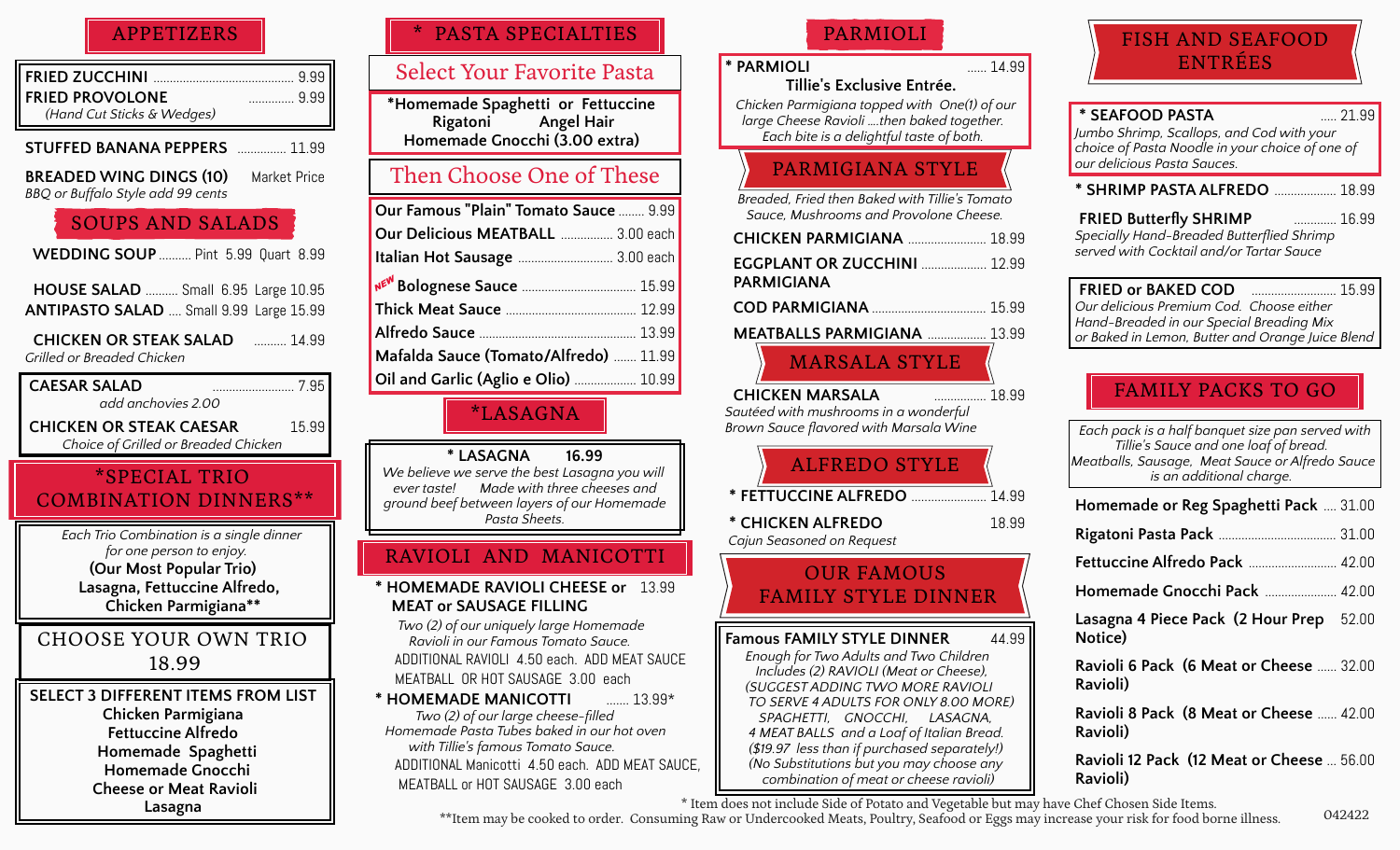### APPETIZERS

| <b>FRIED PROVOLONE</b>     | 9.99 |
|----------------------------|------|
| (Hand Cut Sticks & Wedges) |      |

**STUFFED BANANA PEPPERS** ............... 11.99

**BREADED WING DINGS (10)** Market Price *BBQ or Buffalo Style add 99 cents*

## SOUPS AND SALADS

 **WEDDING SOUP** .......... Pint 5.99 Quart 8.99

 **HOUSE SALAD** .......... Small 6.95 Large 10.95 **ANTIPASTO SALAD** .... Small 9.99 Large 15.99

 **CHICKEN OR STEAK SALAD**.......... 14.99 *Grilled or Breaded Chicken*

 **CAESAR SALAD** ......................... 7.95  *add anchovies 2.00*  **CHICKEN OR STEAK CAESAR**15.99  *Choice of Grilled or Breaded Chicken* 

# \*SPECIAL TRIO COMBINATION DINNERS\*\*

 *Each Trio Combination is a single dinner for one person to enjoy.* **(Our Most Popular Trio) Lasagna, Fettuccine Alfredo, Chicken Parmigiana\*\*** 

CHOOSE YOUR OWN TRIO 18.99

**SELECT 3 DIFFERENT ITEMS FROM LIST Chicken Parmigiana Fettuccine Alfredo Homemade Spaghetti Homemade Gnocchi Cheese or Meat Ravioli Lasagna** 

# PASTA SPECIALTIES

### Select Your Favorite Pasta

 **\*Homemade Spaghetti or Fettuccine Rigatoni Angel Hair Homemade Gnocchi (3.00 extra)**

# Then Choose One of These

| <b>Our Famous "Plain" Tomato Sauce  9.99</b> |  |
|----------------------------------------------|--|
| <b>Our Delicious MEATBALL  3.00 each</b>     |  |
| Italian Hot Sausage  3.00 each               |  |
|                                              |  |
|                                              |  |
|                                              |  |
| Mafalda Sauce (Tomato/Alfredo)  11.99        |  |
| Oil and Garlic (Aglio e Olio)  10.99         |  |

\*LASAGNA

**\* LASAGNA 16.99** *We believe we serve the best Lasagna you will ever taste! Made with three cheeses and ground beef between layers of our Homemade Pasta Sheets.*

# RAVIOLI AND MANICOTTI

**\* HOMEMADE RAVIOLI CHEESE or** 13.99  **MEAT or SAUSAGE FILLING**

*Two (2) of our uniquely large Homemade Ravioli in our Famous Tomato Sauce.*  ADDITIONAL RAVIOLI 4.50 each. ADD MEAT SAUCE MEATBALL OR HOT SAUSAGE 3.00 each

**\* HOMEMADE MANICOTTI** ....... 13.99\*  *Two (2) of our large cheese-filled Homemade Pasta Tubes baked in our hot oven with Tillie's famous Tomato Sauce.*  ADDITIONAL Manicotti 4.50 each. ADD MEAT SAUCE, MEATBALL or HOT SAUSAGE 3.00 each

### PARMIOLI

### **\* PARMIOLI** ...... 14.99

 **Tillie's Exclusive Entrée.**  *Chicken Parmigiana topped with One(1) of our large Cheese Ravioli ….then baked together. Each bite is a delightful taste of both.*

# PARMIGIANA STYLE

*Breaded, Fried then Baked with Tillie's Tomato Sauce, Mushrooms and Provolone Cheese.*

| <b>CHICKEN PARMIGIANA</b> 18.99 |  |
|---------------------------------|--|
|                                 |  |

 **EGGPLANT OR ZUCCHINI** .................... 12.99  **PARMIGIANA**

 **COD PARMIGIANA** ................................... 15.99

 **MEATBALLS PARMIGIANA** .................. 13.99

# MARSALA STYLE

 **CHICKEN MARSALA**................ 18.99 *Sautéed with mushrooms in a wonderful Brown Sauce flavored with Marsala Wine*

# ALFREDO STYLE

 **\* FETTUCCINE ALFREDO** ....................... 14.99

 **\* CHICKEN ALFREDO** 18.99  *Cajun Seasoned on Request*

### OUR FAMOUS FAMILY STYLE DINNER

**Famous FAMILY STYLE DINNER** 44.99  *Enough for Two Adults and Two Children Includes (2) RAVIOLI (Meat or Cheese), (SUGGEST ADDING TWO MORE RAVIOLI TO SERVE 4 ADULTS FOR ONLY 8.00 MORE) SPAGHETTI, GNOCCHI, LASAGNA, 4 MEAT BALLS and a Loaf of Italian Bread. (\$19.97 less than if purchased separately!) (No Substitutions but you may choose any combination of meat or cheese ravioli)* 

# FISH AND SEAFOOD ENTRÉES

### **\* SEAFOOD PASTA**..... 21.99 *Jumbo Shrimp, Scallops, and Cod with your choice of Pasta Noodle in your choice of one of our delicious Pasta Sauces.* **\* SHRIMP PASTA ALFREDO** ................... 18.99  **FRIED Butterfly SHRIMP**............. 16.99 *Specially Hand-Breaded Butterflied Shrimp served with Cocktail and/or Tartar Sauce*  **FRIED or BAKED COD**.......................... 15.99 *Our delicious Premium Cod. Choose either*

*Hand-Breaded in our Special Breading Mix or Baked in Lemon, Butter and Orange Juice Blend*

## FAMILY PACKS TO GO

| Each pack is a half banquet size pan served with<br>Tillie's Sauce and one loaf of bread.<br>Meatballs, Sausage, Meat Sauce or Alfredo Sauce<br>is an additional charge. |        |
|--------------------------------------------------------------------------------------------------------------------------------------------------------------------------|--------|
| <b>Homemade or Reg Spaghetti Pack</b> 31.00                                                                                                                              |        |
|                                                                                                                                                                          |        |
| <b>Fettuccine Alfredo Pack  42.00</b>                                                                                                                                    |        |
| Homemade Gnocchi Pack  42.00                                                                                                                                             |        |
| Lasagna 4 Piece Pack (2 Hour Prep 52.00<br>Notice)                                                                                                                       |        |
| Ravioli 6 Pack (6 Meat or Cheese  32.00<br>Ravioli)                                                                                                                      |        |
| Ravioli 8 Pack (8 Meat or Cheese  42.00<br>Ravioli)                                                                                                                      |        |
| Ravioli 12 Pack (12 Meat or Cheese  56.00<br>Ravioli)                                                                                                                    |        |
| e Chef Chosen Side Items.                                                                                                                                                | 042422 |

\*\*Item may be cooked to order. Consuming Raw or Undercooked Meats, Poultry, Seafood or Eggs may increase your risk for food borne illness. \* Item does not include Side of Potato and Vegetable but may have